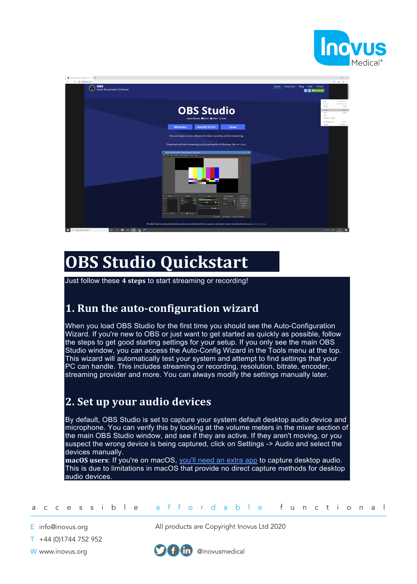



# **OBS Studio Quickstart**

Just follow these **4 steps** to start streaming or recording!

#### **1. Run the auto-configuration wizard**

When you load OBS Studio for the first time you should see the Auto-Configuration Wizard. If you're new to OBS or just want to get started as quickly as possible, follow the steps to get good starting settings for your setup. If you only see the main OBS Studio window, you can access the Auto-Config Wizard in the Tools menu at the top. This wizard will automatically test your system and attempt to find settings that your PC can handle. This includes streaming or recording, resolution, bitrate, encoder, streaming provider and more. You can always modify the settings manually later.

### **2. Set up your audio devices**

By default, OBS Studio is set to capture your system default desktop audio device and microphone. You can verify this by looking at the volume meters in the mixer section of the main OBS Studio window, and see if they are active. If they aren't moving, or you suspect the wrong device is being captured, click on Settings -> Audio and select the devices manually.

**macOS users**: If you're on macOS, you'll need an extra app to capture desktop audio. This is due to limitations in macOS that provide no direct capture methods for desktop audio devices.

accessible affordable functional

E info@inovus.org

T +44 (0)1744 752 952

All products are Copyright Inovus Ltd 2020



W www.inovus.org @inovusmedical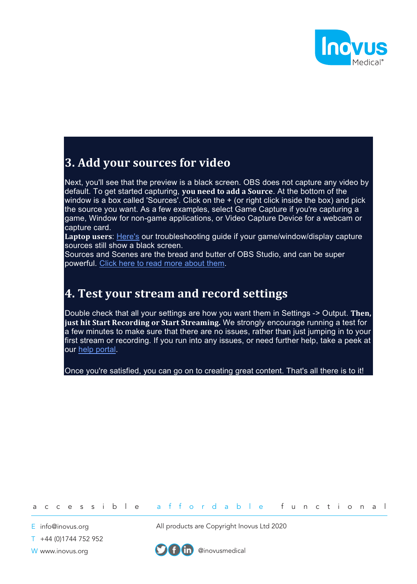

### **3. Add your sources for video**

Next, you'll see that the preview is a black screen. OBS does not capture any video by default. To get started capturing, **you need to add a Source**. At the bottom of the window is a box called 'Sources'. Click on the  $+$  (or right click inside the box) and pick the source you want. As a few examples, select Game Capture if you're capturing a game, Window for non-game applications, or Video Capture Device for a webcam or capture card.

**Laptop users**: Here's our troubleshooting guide if your game/window/display capture sources still show a black screen.

Sources and Scenes are the bread and butter of OBS Studio, and can be super powerful. Click here to read more about them.

## **4. Test your stream and record settings**

Double check that all your settings are how you want them in Settings -> Output. **Then, just hit Start Recording or Start Streaming.** We strongly encourage running a test for a few minutes to make sure that there are no issues, rather than just jumping in to your first stream or recording. If you run into any issues, or need further help, take a peek at our help portal.

Once you're satisfied, you can go on to creating great content. That's all there is to it!

#### accessible affordable functional

E info@inovus.org

T +44 (0)1744 752 952

All products are Copyright Inovus Ltd 2020



W www.inovus.org @inovusmedical